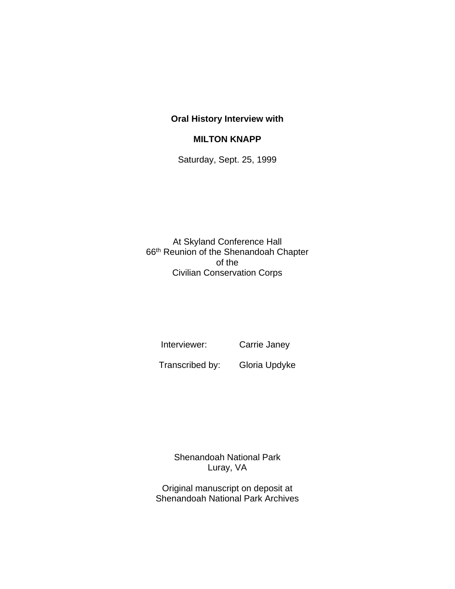## **Oral History Interview with**

## **MILTON KNAPP**

Saturday, Sept. 25, 1999

At Skyland Conference Hall 66th Reunion of the Shenandoah Chapter of the Civilian Conservation Corps

Interviewer: Carrie Janey

Transcribed by: Gloria Updyke

Shenandoah National Park Luray, VA

Original manuscript on deposit at Shenandoah National Park Archives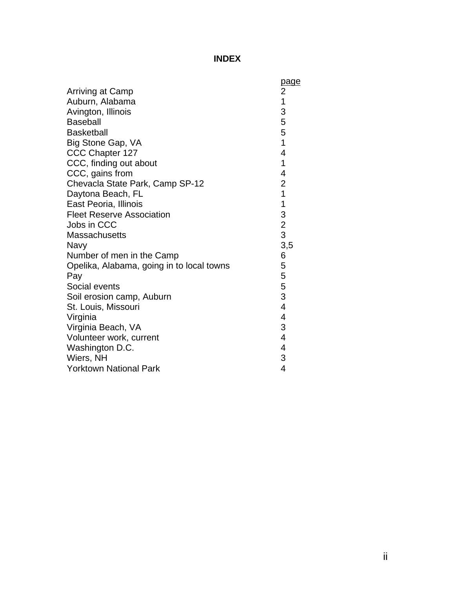## **INDEX**

|                                           | page                     |
|-------------------------------------------|--------------------------|
| <b>Arriving at Camp</b>                   | $\overline{\mathbf{c}}$  |
| Auburn, Alabama                           | $\overline{1}$           |
| Avington, Illinois                        | 3                        |
| <b>Baseball</b>                           | 5                        |
| <b>Basketball</b>                         | 5                        |
| Big Stone Gap, VA                         | 1                        |
| CCC Chapter 127                           | 4                        |
| CCC, finding out about                    | 1                        |
| CCC, gains from                           | 4                        |
| Chevacla State Park, Camp SP-12           | $\overline{\mathbf{c}}$  |
| Daytona Beach, FL                         | $\overline{1}$           |
| East Peoria, Illinois                     | 1                        |
| <b>Fleet Reserve Association</b>          | 3                        |
| Jobs in CCC                               | $\overline{2}$           |
| <b>Massachusetts</b>                      | 3                        |
| Navy                                      | 3,5                      |
| Number of men in the Camp                 | 6                        |
| Opelika, Alabama, going in to local towns | 5                        |
| Pay                                       | 5                        |
| Social events                             | 5                        |
| Soil erosion camp, Auburn                 | 3                        |
| St. Louis, Missouri                       | $\overline{\mathcal{A}}$ |
| Virginia                                  | 4                        |
| Virginia Beach, VA                        | 3                        |
| Volunteer work, current                   | 4                        |
| Washington D.C.                           | 4                        |
| Wiers, NH                                 | 3                        |
| <b>Yorktown National Park</b>             | $\overline{4}$           |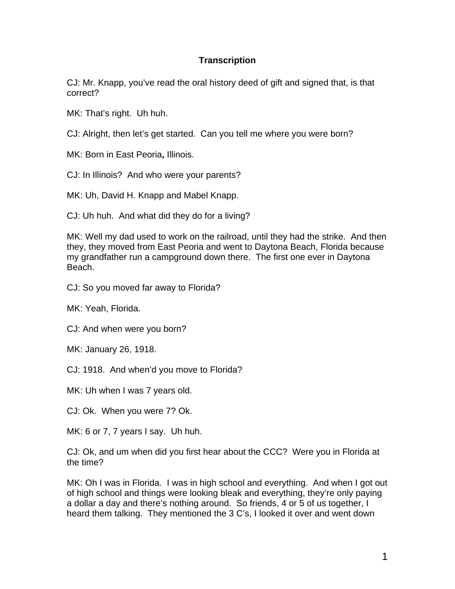## **Transcription**

CJ: Mr. Knapp, you've read the oral history deed of gift and signed that, is that correct?

MK: That's right. Uh huh.

CJ: Alright, then let's get started. Can you tell me where you were born?

MK: Born in East Peoria**,** Illinois.

CJ: In Illinois? And who were your parents?

MK: Uh, David H. Knapp and Mabel Knapp.

CJ: Uh huh. And what did they do for a living?

MK: Well my dad used to work on the railroad, until they had the strike. And then they, they moved from East Peoria and went to Daytona Beach, Florida because my grandfather run a campground down there. The first one ever in Daytona Beach.

CJ: So you moved far away to Florida?

MK: Yeah, Florida.

CJ: And when were you born?

MK: January 26, 1918.

CJ: 1918. And when'd you move to Florida?

MK: Uh when I was 7 years old.

CJ: Ok. When you were 7? Ok.

MK: 6 or 7, 7 years I say. Uh huh.

CJ: Ok, and um when did you first hear about the CCC? Were you in Florida at the time?

MK: Oh I was in Florida. I was in high school and everything. And when I got out of high school and things were looking bleak and everything, they're only paying a dollar a day and there's nothing around. So friends, 4 or 5 of us together, I heard them talking. They mentioned the 3 C's, I looked it over and went down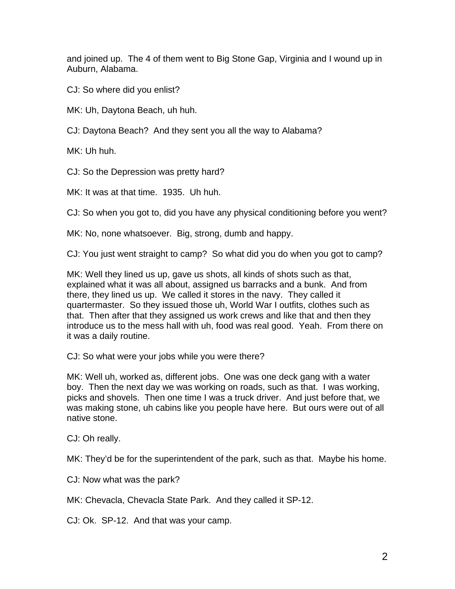and joined up. The 4 of them went to Big Stone Gap, Virginia and I wound up in Auburn, Alabama.

CJ: So where did you enlist?

MK: Uh, Daytona Beach, uh huh.

CJ: Daytona Beach? And they sent you all the way to Alabama?

MK: Uh huh.

CJ: So the Depression was pretty hard?

MK: It was at that time. 1935. Uh huh.

CJ: So when you got to, did you have any physical conditioning before you went?

MK: No, none whatsoever. Big, strong, dumb and happy.

CJ: You just went straight to camp? So what did you do when you got to camp?

MK: Well they lined us up, gave us shots, all kinds of shots such as that, explained what it was all about, assigned us barracks and a bunk. And from there, they lined us up. We called it stores in the navy. They called it quartermaster. So they issued those uh, World War I outfits, clothes such as that. Then after that they assigned us work crews and like that and then they introduce us to the mess hall with uh, food was real good. Yeah. From there on it was a daily routine.

CJ: So what were your jobs while you were there?

MK: Well uh, worked as, different jobs. One was one deck gang with a water boy. Then the next day we was working on roads, such as that. I was working, picks and shovels. Then one time I was a truck driver. And just before that, we was making stone, uh cabins like you people have here. But ours were out of all native stone.

CJ: Oh really.

MK: They'd be for the superintendent of the park, such as that. Maybe his home.

CJ: Now what was the park?

MK: Chevacla, Chevacla State Park. And they called it SP-12.

CJ: Ok. SP-12. And that was your camp.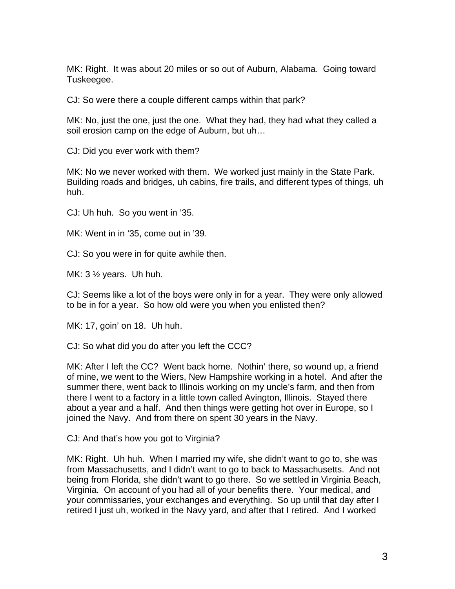MK: Right. It was about 20 miles or so out of Auburn, Alabama. Going toward Tuskeegee.

CJ: So were there a couple different camps within that park?

MK: No, just the one, just the one. What they had, they had what they called a soil erosion camp on the edge of Auburn, but uh…

CJ: Did you ever work with them?

MK: No we never worked with them. We worked just mainly in the State Park. Building roads and bridges, uh cabins, fire trails, and different types of things, uh huh.

CJ: Uh huh. So you went in '35.

MK: Went in in '35, come out in '39.

CJ: So you were in for quite awhile then.

MK: 3 ½ years. Uh huh.

CJ: Seems like a lot of the boys were only in for a year. They were only allowed to be in for a year. So how old were you when you enlisted then?

MK: 17, goin' on 18. Uh huh.

CJ: So what did you do after you left the CCC?

MK: After I left the CC? Went back home. Nothin' there, so wound up, a friend of mine, we went to the Wiers, New Hampshire working in a hotel. And after the summer there, went back to Illinois working on my uncle's farm, and then from there I went to a factory in a little town called Avington, Illinois. Stayed there about a year and a half. And then things were getting hot over in Europe, so I joined the Navy. And from there on spent 30 years in the Navy.

CJ: And that's how you got to Virginia?

MK: Right. Uh huh. When I married my wife, she didn't want to go to, she was from Massachusetts, and I didn't want to go to back to Massachusetts. And not being from Florida, she didn't want to go there. So we settled in Virginia Beach, Virginia. On account of you had all of your benefits there. Your medical, and your commissaries, your exchanges and everything. So up until that day after I retired I just uh, worked in the Navy yard, and after that I retired. And I worked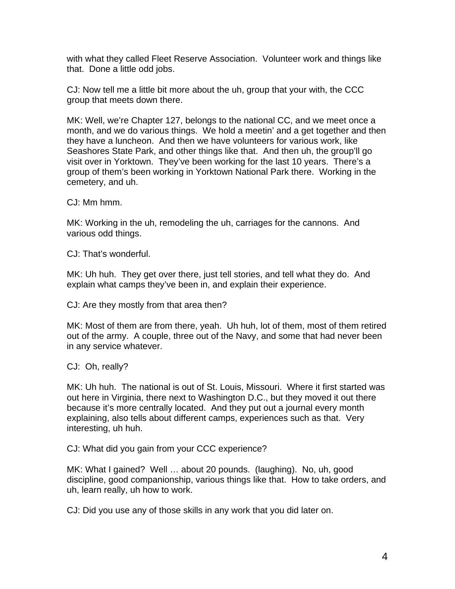with what they called Fleet Reserve Association. Volunteer work and things like that. Done a little odd jobs.

CJ: Now tell me a little bit more about the uh, group that your with, the CCC group that meets down there.

MK: Well, we're Chapter 127, belongs to the national CC, and we meet once a month, and we do various things. We hold a meetin' and a get together and then they have a luncheon. And then we have volunteers for various work, like Seashores State Park, and other things like that. And then uh, the group'll go visit over in Yorktown. They've been working for the last 10 years. There's a group of them's been working in Yorktown National Park there. Working in the cemetery, and uh.

CJ: Mm hmm.

MK: Working in the uh, remodeling the uh, carriages for the cannons. And various odd things.

CJ: That's wonderful.

MK: Uh huh. They get over there, just tell stories, and tell what they do. And explain what camps they've been in, and explain their experience.

CJ: Are they mostly from that area then?

MK: Most of them are from there, yeah. Uh huh, lot of them, most of them retired out of the army. A couple, three out of the Navy, and some that had never been in any service whatever.

CJ: Oh, really?

MK: Uh huh. The national is out of St. Louis, Missouri. Where it first started was out here in Virginia, there next to Washington D.C., but they moved it out there because it's more centrally located. And they put out a journal every month explaining, also tells about different camps, experiences such as that. Very interesting, uh huh.

CJ: What did you gain from your CCC experience?

MK: What I gained? Well … about 20 pounds. (laughing). No, uh, good discipline, good companionship, various things like that. How to take orders, and uh, learn really, uh how to work.

CJ: Did you use any of those skills in any work that you did later on.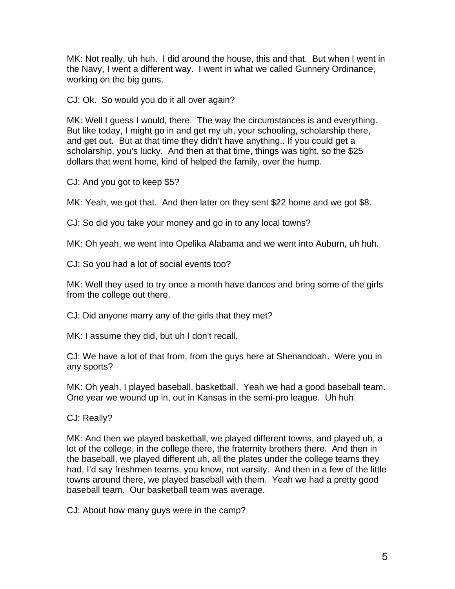MK: Not really, uh huh. I did around the house, this and that. But when I went in the Navy, I went a different way. I went in what we called Gunnery Ordinance, working on the big guns.

CJ: Ok. So would you do it all over again?

MK: Well I guess I would, there. The way the circumstances is and everything. But like today, I might go in and get my uh, your schooling, scholarship there, and get out. But at that time they didn't have anything.. If you could get a scholarship, you's lucky. And then at that time, things was tight, so the \$25 dollars that went home, kind of helped the family, over the hump.

CJ: And you got to keep \$5?

MK: Yeah, we got that. And then later on they sent \$22 home and we got \$8.

CJ: So did you take your money and go in to any local towns?

MK: Oh yeah, we went into Opelika Alabama and we went into Auburn, uh huh.

CJ: So you had a lot of social events too?

MK: Well they used to try once a month have dances and bring some of the girls from the college out there.

CJ: Did anyone marry any of the girls that they met?

MK: I assume they did, but uh I don't recall.

CJ: We have a lot of that from, from the guys here at Shenandoah. Were you in any sports?

MK: Oh yeah, I played baseball, basketball. Yeah we had a good baseball team. One year we wound up in, out in Kansas in the semi-pro league. Uh huh.

CJ: Really?

MK: And then we played basketball, we played different towns, and played uh, a lot of the college, in the college there, the fraternity brothers there. And then in the baseball, we played different uh, all the plates under the college teams they had, I'd say freshmen teams, you know, not varsity. And then in a few of the little towns around there, we played baseball with them. Yeah we had a pretty good baseball team. Our basketball team was average.

CJ: About how many guys were in the camp?